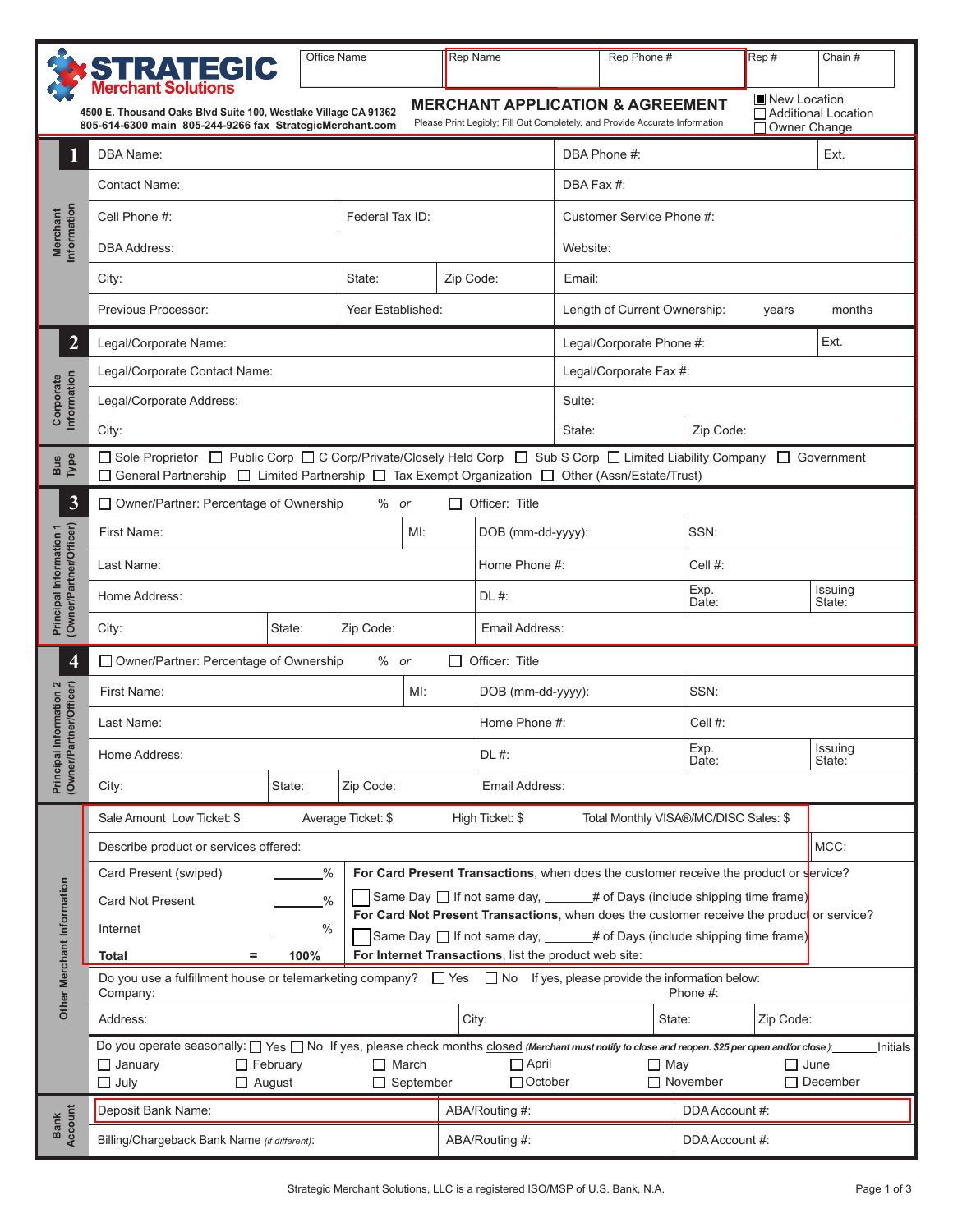|                                                                                                                                                                                                                                                                                                                    | <b>STRATEGIC</b><br>Merchant Solutions                                                                                                                                                                                        | Office Name                      |                                                                                                                                                                                             |           | <b>Rep Name</b>           |                                                 |                                  | Rep Phone #       |                 | Rep# | Chain #           |  |  |
|--------------------------------------------------------------------------------------------------------------------------------------------------------------------------------------------------------------------------------------------------------------------------------------------------------------------|-------------------------------------------------------------------------------------------------------------------------------------------------------------------------------------------------------------------------------|----------------------------------|---------------------------------------------------------------------------------------------------------------------------------------------------------------------------------------------|-----------|---------------------------|-------------------------------------------------|----------------------------------|-------------------|-----------------|------|-------------------|--|--|
| New Location<br><b>MERCHANT APPLICATION &amp; AGREEMENT</b><br>□ Additional Location<br>4500 E. Thousand Oaks Blvd Suite 100, Westlake Village CA 91362<br>Please Print Legibly; Fill Out Completely, and Provide Accurate Information<br>805-614-6300 main 805-244-9266 fax StrategicMerchant.com<br>Owner Change |                                                                                                                                                                                                                               |                                  |                                                                                                                                                                                             |           |                           |                                                 |                                  |                   |                 |      |                   |  |  |
|                                                                                                                                                                                                                                                                                                                    | DBA Name:                                                                                                                                                                                                                     |                                  |                                                                                                                                                                                             |           |                           |                                                 | DBA Phone #:<br>Ext.             |                   |                 |      |                   |  |  |
|                                                                                                                                                                                                                                                                                                                    | <b>Contact Name:</b>                                                                                                                                                                                                          |                                  | DBA Fax #:                                                                                                                                                                                  |           |                           |                                                 |                                  |                   |                 |      |                   |  |  |
|                                                                                                                                                                                                                                                                                                                    | Cell Phone #:                                                                                                                                                                                                                 | Federal Tax ID:                  |                                                                                                                                                                                             |           | Customer Service Phone #: |                                                 |                                  |                   |                 |      |                   |  |  |
| Information<br><b>Merchant</b>                                                                                                                                                                                                                                                                                     | <b>DBA Address:</b>                                                                                                                                                                                                           |                                  |                                                                                                                                                                                             |           |                           | Website:                                        |                                  |                   |                 |      |                   |  |  |
|                                                                                                                                                                                                                                                                                                                    | City:                                                                                                                                                                                                                         | State:                           |                                                                                                                                                                                             | Zip Code: |                           | Email:                                          |                                  |                   |                 |      |                   |  |  |
|                                                                                                                                                                                                                                                                                                                    | Previous Processor:                                                                                                                                                                                                           |                                  | Year Established:                                                                                                                                                                           |           |                           | Length of Current Ownership:<br>months<br>years |                                  |                   |                 |      |                   |  |  |
| $\overline{2}$                                                                                                                                                                                                                                                                                                     | Legal/Corporate Name:                                                                                                                                                                                                         |                                  |                                                                                                                                                                                             |           |                           |                                                 | Ext.<br>Legal/Corporate Phone #: |                   |                 |      |                   |  |  |
|                                                                                                                                                                                                                                                                                                                    | Legal/Corporate Contact Name:                                                                                                                                                                                                 |                                  |                                                                                                                                                                                             |           |                           |                                                 | Legal/Corporate Fax #:           |                   |                 |      |                   |  |  |
| Corporate<br>Information                                                                                                                                                                                                                                                                                           | Legal/Corporate Address:                                                                                                                                                                                                      |                                  |                                                                                                                                                                                             |           |                           |                                                 | Suite:                           |                   |                 |      |                   |  |  |
|                                                                                                                                                                                                                                                                                                                    | City:                                                                                                                                                                                                                         |                                  |                                                                                                                                                                                             |           |                           |                                                 | State:                           | Zip Code:         |                 |      |                   |  |  |
| Bus<br>Type                                                                                                                                                                                                                                                                                                        | □ Sole Proprietor □ Public Corp □ C Corp/Private/Closely Held Corp □ Sub S Corp □ Limited Liability Company □ Government<br>□ General Partnership □ Limited Partnership □ Tax Exempt Organization □ Other (Assn/Estate/Trust) |                                  |                                                                                                                                                                                             |           |                           |                                                 |                                  |                   |                 |      |                   |  |  |
| 3                                                                                                                                                                                                                                                                                                                  | □ Owner/Partner: Percentage of Ownership                                                                                                                                                                                      |                                  | $%$ or                                                                                                                                                                                      |           |                           | $\Box$ Officer: Title                           |                                  |                   |                 |      |                   |  |  |
|                                                                                                                                                                                                                                                                                                                    | First Name:                                                                                                                                                                                                                   |                                  |                                                                                                                                                                                             | MI:       |                           | DOB (mm-dd-yyyy):                               |                                  |                   | SSN:            |      |                   |  |  |
|                                                                                                                                                                                                                                                                                                                    | Last Name:                                                                                                                                                                                                                    | Home Phone #:                    |                                                                                                                                                                                             |           | Cell #:                   |                                                 |                                  |                   |                 |      |                   |  |  |
| Owner/Partner/Officer)<br>Principal Information 1                                                                                                                                                                                                                                                                  | Home Address:                                                                                                                                                                                                                 |                                  |                                                                                                                                                                                             |           |                           | DL #:                                           |                                  |                   | Exp.<br>Date:   |      | Issuing<br>State: |  |  |
|                                                                                                                                                                                                                                                                                                                    | State:<br>Zip Code:<br>City:                                                                                                                                                                                                  |                                  |                                                                                                                                                                                             |           |                           | Email Address:                                  |                                  |                   |                 |      |                   |  |  |
| $\overline{\mathbf{4}}$                                                                                                                                                                                                                                                                                            | Owner/Partner: Percentage of Ownership<br>$\Box$ Officer: Title<br>$%$ or                                                                                                                                                     |                                  |                                                                                                                                                                                             |           |                           |                                                 |                                  |                   |                 |      |                   |  |  |
|                                                                                                                                                                                                                                                                                                                    | First Name:<br>MI:                                                                                                                                                                                                            |                                  |                                                                                                                                                                                             |           |                           | DOB (mm-dd-yyyy):                               |                                  |                   | SSN:            |      |                   |  |  |
| <b>iformation 2</b><br>tner/Officer)                                                                                                                                                                                                                                                                               | Last Name:                                                                                                                                                                                                                    |                                  | Home Phone #:                                                                                                                                                                               |           |                           | Cell #:                                         |                                  |                   |                 |      |                   |  |  |
| Principal Int<br>(Owner/Part                                                                                                                                                                                                                                                                                       | Home Address:                                                                                                                                                                                                                 |                                  | DL #:                                                                                                                                                                                       |           |                           | Exp.<br>Date:                                   |                                  | Issuing<br>State: |                 |      |                   |  |  |
|                                                                                                                                                                                                                                                                                                                    | City:                                                                                                                                                                                                                         | State:                           | Zip Code:                                                                                                                                                                                   |           |                           | Email Address:                                  |                                  |                   |                 |      |                   |  |  |
|                                                                                                                                                                                                                                                                                                                    | Sale Amount Low Ticket: \$<br>Average Ticket: \$<br>Total Monthly VISA®/MC/DISC Sales: \$<br>High Ticket: \$                                                                                                                  |                                  |                                                                                                                                                                                             |           |                           |                                                 |                                  |                   |                 |      |                   |  |  |
|                                                                                                                                                                                                                                                                                                                    | Describe product or services offered:                                                                                                                                                                                         |                                  |                                                                                                                                                                                             |           |                           |                                                 |                                  |                   |                 |      | MCC:              |  |  |
|                                                                                                                                                                                                                                                                                                                    | Card Present (swiped)                                                                                                                                                                                                         |                                  | For Card Present Transactions, when does the customer receive the product or service?                                                                                                       |           |                           |                                                 |                                  |                   |                 |      |                   |  |  |
|                                                                                                                                                                                                                                                                                                                    | Same Day $\Box$ If not same day, _____# of Days (include shipping time frame)<br>Card Not Present<br>$\%$<br>For Card Not Present Transactions, when does the customer receive the productor service?                         |                                  |                                                                                                                                                                                             |           |                           |                                                 |                                  |                   |                 |      |                   |  |  |
|                                                                                                                                                                                                                                                                                                                    | Internet<br>%<br>Same Day $\Box$ If not same day, ______# of Days (include shipping time frame)                                                                                                                               |                                  |                                                                                                                                                                                             |           |                           |                                                 |                                  |                   |                 |      |                   |  |  |
|                                                                                                                                                                                                                                                                                                                    | For Internet Transactions, list the product web site:<br>100%<br>Total<br>$=$<br>Do you use a fulfillment house or telemarketing company? $\Box$ Yes $\Box$ No If yes, please provide the information below:                  |                                  |                                                                                                                                                                                             |           |                           |                                                 |                                  |                   |                 |      |                   |  |  |
| Other Merchant Information                                                                                                                                                                                                                                                                                         | Phone #:<br>Company:                                                                                                                                                                                                          |                                  |                                                                                                                                                                                             |           |                           |                                                 |                                  |                   |                 |      |                   |  |  |
|                                                                                                                                                                                                                                                                                                                    | Address:                                                                                                                                                                                                                      | City:<br>State:                  |                                                                                                                                                                                             |           |                           | Zip Code:                                       |                                  |                   |                 |      |                   |  |  |
|                                                                                                                                                                                                                                                                                                                    | $\Box$ February<br>$\Box$ January                                                                                                                                                                                             |                                  | Do you operate seasonally: [See Tho If yes, please check months closed (Merchant must notify to close and reopen. \$25 per open and/or close):<br>$\Box$ April<br>$\Box$ May<br>$\Box$ June |           |                           |                                                 | Initials                         |                   |                 |      |                   |  |  |
|                                                                                                                                                                                                                                                                                                                    | $\Box$ July<br>$\Box$ August                                                                                                                                                                                                  | $\Box$ March<br>$\Box$ September | $\Box$ October                                                                                                                                                                              |           |                           | $\Box$ November                                 |                                  |                   | $\Box$ December |      |                   |  |  |
| Bank<br>Account                                                                                                                                                                                                                                                                                                    | Deposit Bank Name:                                                                                                                                                                                                            |                                  | ABA/Routing #:                                                                                                                                                                              |           |                           | DDA Account #:                                  |                                  |                   |                 |      |                   |  |  |
|                                                                                                                                                                                                                                                                                                                    | Billing/Chargeback Bank Name (if different):                                                                                                                                                                                  |                                  | ABA/Routing #:                                                                                                                                                                              |           |                           | DDA Account #:                                  |                                  |                   |                 |      |                   |  |  |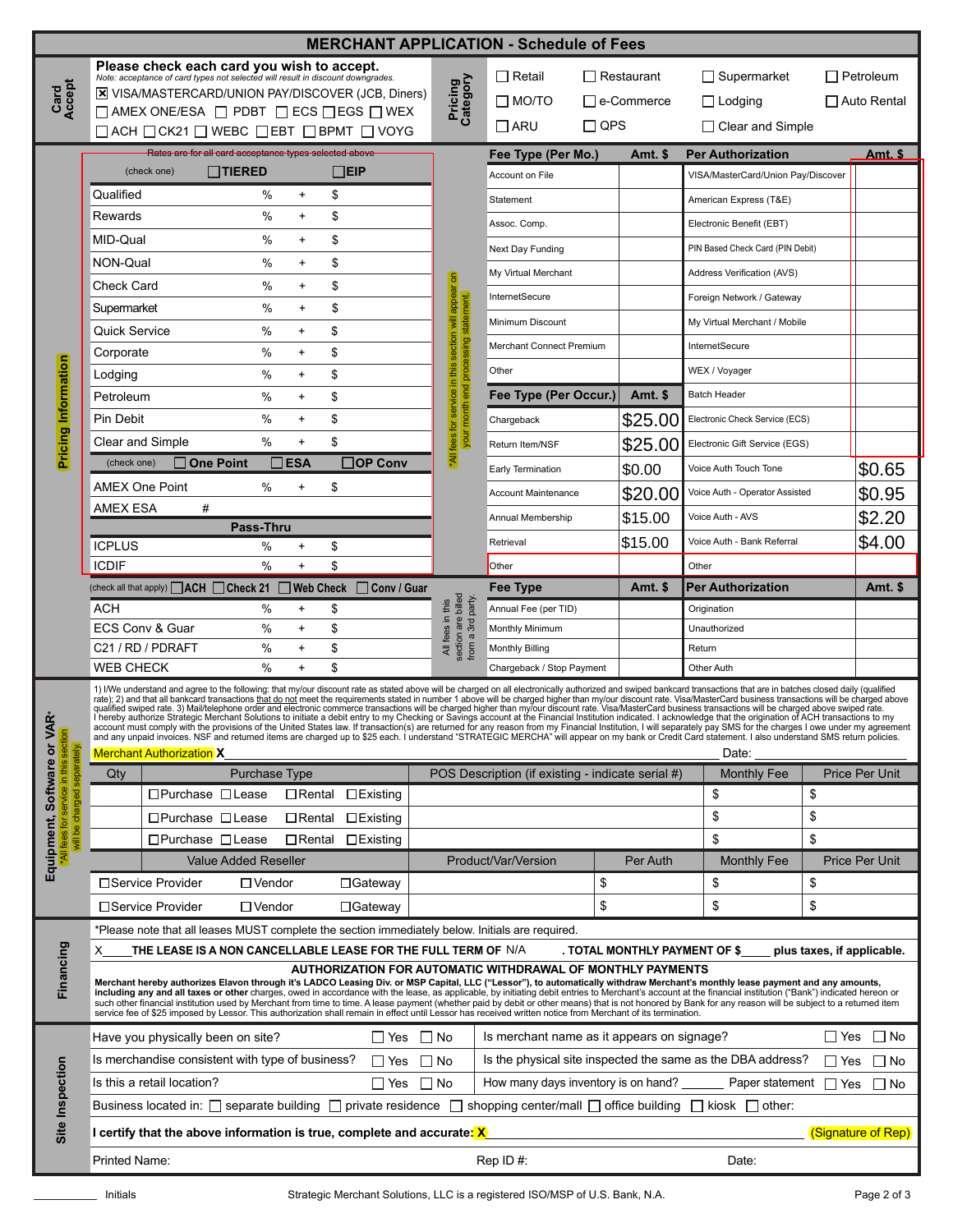| <b>MERCHANT APPLICATION - Schedule of Fees</b> |                                                                                                                                                                                                                                   |                                                                                                                                                                                                                                                                                                                                                                                                                                                                                                                                                                                                           |                             |                                                             |                                         |                        |                                                                           |                                                                                                  |                          |                                |                                    |                  |                       |
|------------------------------------------------|-----------------------------------------------------------------------------------------------------------------------------------------------------------------------------------------------------------------------------------|-----------------------------------------------------------------------------------------------------------------------------------------------------------------------------------------------------------------------------------------------------------------------------------------------------------------------------------------------------------------------------------------------------------------------------------------------------------------------------------------------------------------------------------------------------------------------------------------------------------|-----------------------------|-------------------------------------------------------------|-----------------------------------------|------------------------|---------------------------------------------------------------------------|--------------------------------------------------------------------------------------------------|--------------------------|--------------------------------|------------------------------------|------------------|-----------------------|
|                                                | Please check each card you wish to accept.                                                                                                                                                                                        |                                                                                                                                                                                                                                                                                                                                                                                                                                                                                                                                                                                                           |                             |                                                             |                                         |                        | $\Box$ Retail<br>$\Box$ Restaurant                                        |                                                                                                  |                          | $\Box$ Supermarket             |                                    | $\Box$ Petroleum |                       |
| Card<br>Accept                                 | Note: acceptance of card types not selected will result in discount downgrades.<br>X VISA/MASTERCARD/UNION PAY/DISCOVER (JCB, Diners)                                                                                             |                                                                                                                                                                                                                                                                                                                                                                                                                                                                                                                                                                                                           |                             |                                                             | Pricing<br>Category                     |                        |                                                                           |                                                                                                  |                          |                                |                                    |                  |                       |
|                                                | $\square$ AMEX ONE/ESA $\square$ PDBT $\square$ ECS $\square$ EGS $\square$ WEX                                                                                                                                                   |                                                                                                                                                                                                                                                                                                                                                                                                                                                                                                                                                                                                           |                             |                                                             |                                         | $\Box$ MO/TO           |                                                                           | $\Box$ e-Commerce                                                                                | $\Box$ Lodging           |                                | $\Box$ Auto Rental                 |                  |                       |
|                                                | $\Box$ ACH $\Box$ CK21 $\Box$ WEBC $\Box$ EBT $\Box$ BPMT $\Box$ VOYG                                                                                                                                                             |                                                                                                                                                                                                                                                                                                                                                                                                                                                                                                                                                                                                           |                             |                                                             | $\Box$ ARU                              | $\Box$ QPS             |                                                                           | $\Box$ Clear and Simple                                                                          |                          |                                |                                    |                  |                       |
|                                                |                                                                                                                                                                                                                                   | Rates are for all card acceptance types selected above                                                                                                                                                                                                                                                                                                                                                                                                                                                                                                                                                    |                             |                                                             |                                         | Fee Type (Per Mo.)     |                                                                           | Amt. \$                                                                                          | <b>Per Authorization</b> |                                | <u>Amt. \$_</u>                    |                  |                       |
|                                                |                                                                                                                                                                                                                                   | (check one)                                                                                                                                                                                                                                                                                                                                                                                                                                                                                                                                                                                               | <b>TIERED</b>               |                                                             | $\Box$ EIP                              |                        |                                                                           | Account on File                                                                                  |                          |                                | VISA/MasterCard/Union Pay/Discover |                  |                       |
|                                                | Qualified                                                                                                                                                                                                                         |                                                                                                                                                                                                                                                                                                                                                                                                                                                                                                                                                                                                           | $\%$                        | $\ddot{}$                                                   | \$                                      |                        |                                                                           | Statement                                                                                        |                          |                                | American Express (T&E)             |                  |                       |
|                                                | Rewards                                                                                                                                                                                                                           |                                                                                                                                                                                                                                                                                                                                                                                                                                                                                                                                                                                                           | $\%$                        | $\ddot{}$                                                   | \$                                      |                        |                                                                           | Assoc. Comp.                                                                                     |                          |                                | Electronic Benefit (EBT)           |                  |                       |
|                                                | MID-Qual                                                                                                                                                                                                                          |                                                                                                                                                                                                                                                                                                                                                                                                                                                                                                                                                                                                           | $\%$                        | $\ddot{}$                                                   | \$                                      |                        |                                                                           | Next Day Funding                                                                                 |                          |                                | PIN Based Check Card (PIN Debit)   |                  |                       |
|                                                | NON-Qual                                                                                                                                                                                                                          |                                                                                                                                                                                                                                                                                                                                                                                                                                                                                                                                                                                                           | $\%$                        | +                                                           | \$                                      |                        | $\epsilon$                                                                | My Virtual Merchant                                                                              |                          |                                | Address Verification (AVS)         |                  |                       |
|                                                | <b>Check Card</b>                                                                                                                                                                                                                 |                                                                                                                                                                                                                                                                                                                                                                                                                                                                                                                                                                                                           | %                           | $\ddot{}$                                                   | \$                                      |                        | appea                                                                     | InternetSecure                                                                                   |                          |                                | Foreign Network / Gateway          |                  |                       |
|                                                | Supermarket                                                                                                                                                                                                                       |                                                                                                                                                                                                                                                                                                                                                                                                                                                                                                                                                                                                           | %                           | $\ddot{}$                                                   | \$                                      |                        | W                                                                         | Minimum Discount                                                                                 |                          |                                | My Virtual Merchant / Mobile       |                  |                       |
|                                                | Quick Service                                                                                                                                                                                                                     |                                                                                                                                                                                                                                                                                                                                                                                                                                                                                                                                                                                                           | %                           | $\ddot{}$                                                   | \$                                      |                        | section                                                                   | <b>Merchant Connect Premium</b>                                                                  |                          |                                | InternetSecure                     |                  |                       |
|                                                | Corporate                                                                                                                                                                                                                         |                                                                                                                                                                                                                                                                                                                                                                                                                                                                                                                                                                                                           | %                           | $\ddot{}$                                                   | \$                                      |                        | this                                                                      | Other                                                                                            |                          |                                | WEX / Voyager                      |                  |                       |
|                                                | Lodging<br>Petroleum                                                                                                                                                                                                              |                                                                                                                                                                                                                                                                                                                                                                                                                                                                                                                                                                                                           | %<br>%                      | $\ddot{}$<br>$\ddot{}$                                      | \$<br>\$                                |                        | <u>eoi</u>                                                                | Fee Type (Per Occur.)                                                                            |                          | <b>Amt. \$</b>                 | <b>Batch Header</b>                |                  |                       |
|                                                | Pin Debit                                                                                                                                                                                                                         |                                                                                                                                                                                                                                                                                                                                                                                                                                                                                                                                                                                                           | %                           | $\ddot{}$                                                   | \$                                      |                        |                                                                           |                                                                                                  |                          |                                | Electronic Check Service (ECS)     |                  |                       |
| <b>Pricing Information</b>                     | Clear and Simple                                                                                                                                                                                                                  |                                                                                                                                                                                                                                                                                                                                                                                                                                                                                                                                                                                                           | %                           | $\ddot{}$                                                   | \$                                      |                        | your month end processing statement.<br><u>ة</u><br>fees                  | Chargeback                                                                                       |                          | \$25.00                        | Electronic Gift Service (EGS)      |                  |                       |
|                                                | (check one)                                                                                                                                                                                                                       | <b>One Point</b>                                                                                                                                                                                                                                                                                                                                                                                                                                                                                                                                                                                          |                             | <b>ESA</b>                                                  |                                         | <b>OP Conv</b>         | ₹                                                                         | Return Item/NSF                                                                                  |                          | \$25.00                        | Voice Auth Touch Tone              |                  |                       |
|                                                | <b>AMEX One Point</b>                                                                                                                                                                                                             |                                                                                                                                                                                                                                                                                                                                                                                                                                                                                                                                                                                                           | $\%$                        | $\ddot{}$                                                   | \$                                      |                        |                                                                           | Early Termination                                                                                |                          | \$0.00                         |                                    |                  | \$0.65                |
|                                                | <b>AMEX ESA</b><br>#                                                                                                                                                                                                              |                                                                                                                                                                                                                                                                                                                                                                                                                                                                                                                                                                                                           |                             |                                                             |                                         |                        | <b>Account Maintenance</b>                                                |                                                                                                  | \$20.00                  | Voice Auth - Operator Assisted |                                    | \$0.95           |                       |
|                                                | Pass-Thru                                                                                                                                                                                                                         |                                                                                                                                                                                                                                                                                                                                                                                                                                                                                                                                                                                                           |                             |                                                             |                                         | Annual Membership      |                                                                           | \$15.00                                                                                          | Voice Auth - AVS         |                                | \$2.20                             |                  |                       |
|                                                | <b>ICPLUS</b>                                                                                                                                                                                                                     | %<br>\$<br>$\ddot{}$                                                                                                                                                                                                                                                                                                                                                                                                                                                                                                                                                                                      |                             |                                                             |                                         |                        | Retrieval                                                                 | \$15.00                                                                                          |                          | Voice Auth - Bank Referral     |                                    | \$4.00           |                       |
|                                                | $\%$<br><b>ICDIF</b><br>$+$<br>\$                                                                                                                                                                                                 |                                                                                                                                                                                                                                                                                                                                                                                                                                                                                                                                                                                                           |                             |                                                             | Other                                   |                        |                                                                           | Other                                                                                            |                          |                                |                                    |                  |                       |
|                                                |                                                                                                                                                                                                                                   | (check all that apply) $\Box$ ACH $\Box$ Check 21                                                                                                                                                                                                                                                                                                                                                                                                                                                                                                                                                         |                             |                                                             | <b>Web Check</b>                        | □ Conv / Guar          |                                                                           | Fee Type                                                                                         |                          | Amt. \$                        | <b>Per Authorization</b>           |                  | <b>Amt. \$</b>        |
|                                                | <b>ACH</b><br>%<br>\$<br>$\ddot{}$<br>\$<br>ECS Conv & Guar<br>%<br>$\ddot{}$                                                                                                                                                     |                                                                                                                                                                                                                                                                                                                                                                                                                                                                                                                                                                                                           |                             | All fees in this<br>section are billed<br>from a 3rd party. | Annual Fee (per TID)<br>Monthly Minimum |                        |                                                                           | Origination<br>Unauthorized                                                                      |                          |                                |                                    |                  |                       |
|                                                | C21 / RD / PDRAFT<br>%<br>$\ddot{}$                                                                                                                                                                                               |                                                                                                                                                                                                                                                                                                                                                                                                                                                                                                                                                                                                           | \$                          |                                                             |                                         | <b>Monthly Billing</b> |                                                                           |                                                                                                  | Return                   |                                |                                    |                  |                       |
|                                                | <b>WEB CHECK</b><br>%<br>$\ddot{}$                                                                                                                                                                                                |                                                                                                                                                                                                                                                                                                                                                                                                                                                                                                                                                                                                           |                             | \$                                                          |                                         |                        | Chargeback / Stop Payment                                                 |                                                                                                  |                          | Other Auth                     |                                    |                  |                       |
|                                                | 1) I/We understand and agree to the following: that my/our discount rate as stated above will be charged on all electronically authorized and swiped bankcard transactions that are in batches closed daily (qualified            |                                                                                                                                                                                                                                                                                                                                                                                                                                                                                                                                                                                                           |                             |                                                             |                                         |                        |                                                                           |                                                                                                  |                          |                                |                                    |                  |                       |
| ğ                                              | The charged higher than my/our discount rate. Visa/MasterCard business transactions will be charged above<br>pualified swiped rate. 3) Mail/telephone order and electronic commerce transactions will be charged higher than my/o |                                                                                                                                                                                                                                                                                                                                                                                                                                                                                                                                                                                                           |                             |                                                             |                                         |                        |                                                                           |                                                                                                  |                          |                                |                                    |                  |                       |
|                                                | and any unpaid invoices. NSF and returned items are charged up to \$25 each. I understand "STRATÉGIC MERCHA" will appear on my bank or Credit Card statement. I also understand SMS return policies.                              |                                                                                                                                                                                                                                                                                                                                                                                                                                                                                                                                                                                                           |                             |                                                             |                                         |                        |                                                                           |                                                                                                  |                          |                                |                                    |                  |                       |
|                                                | <b>Merchant Authorization X</b><br>Purchase Type                                                                                                                                                                                  |                                                                                                                                                                                                                                                                                                                                                                                                                                                                                                                                                                                                           |                             |                                                             |                                         |                        |                                                                           | Date:                                                                                            |                          |                                |                                    |                  |                       |
|                                                | Qty                                                                                                                                                                                                                               | $\Box$ Purchase $\Box$ Lease                                                                                                                                                                                                                                                                                                                                                                                                                                                                                                                                                                              |                             | $\Box$ Rental                                               | $\Box$ Existing                         |                        |                                                                           | POS Description (if existing - indicate serial #)                                                |                          |                                | <b>Monthly Fee</b><br>\$           | \$               | <b>Price Per Unit</b> |
| service                                        |                                                                                                                                                                                                                                   | $\Box$ Purchase $\Box$ Lease                                                                                                                                                                                                                                                                                                                                                                                                                                                                                                                                                                              |                             | $\Box$ Rental                                               | $\Box$ Existing                         |                        |                                                                           |                                                                                                  |                          |                                | \$<br>\$                           |                  |                       |
|                                                |                                                                                                                                                                                                                                   | □Purchase □ Lease                                                                                                                                                                                                                                                                                                                                                                                                                                                                                                                                                                                         |                             | $\Box$ Rental                                               | $\Box$ Existing                         |                        |                                                                           |                                                                                                  |                          |                                | \$<br>\$                           |                  |                       |
| Equipment, Software or V/                      |                                                                                                                                                                                                                                   |                                                                                                                                                                                                                                                                                                                                                                                                                                                                                                                                                                                                           | <b>Value Added Reseller</b> |                                                             |                                         |                        |                                                                           | Product/Var/Version                                                                              |                          | Per Auth                       | <b>Monthly Fee</b>                 |                  | <b>Price Per Unit</b> |
|                                                |                                                                                                                                                                                                                                   | □Service Provider                                                                                                                                                                                                                                                                                                                                                                                                                                                                                                                                                                                         | $\Box$ Vendor               |                                                             | $\Box$ Gateway                          |                        |                                                                           |                                                                                                  | \$                       |                                | \$                                 | \$               |                       |
|                                                |                                                                                                                                                                                                                                   | □Service Provider                                                                                                                                                                                                                                                                                                                                                                                                                                                                                                                                                                                         | $\Box$ Vendor               |                                                             | $\Box$ Gateway                          |                        | \$                                                                        |                                                                                                  |                          |                                | \$<br>\$                           |                  |                       |
|                                                |                                                                                                                                                                                                                                   |                                                                                                                                                                                                                                                                                                                                                                                                                                                                                                                                                                                                           |                             |                                                             |                                         |                        |                                                                           | *Please note that all leases MUST complete the section immediately below. Initials are required. |                          |                                |                                    |                  |                       |
| Financing                                      | THE LEASE IS A NON CANCELLABLE LEASE FOR THE FULL TERM OF N/A<br>. TOTAL MONTHLY PAYMENT OF \$<br>plus taxes, if applicable.<br>X.                                                                                                |                                                                                                                                                                                                                                                                                                                                                                                                                                                                                                                                                                                                           |                             |                                                             |                                         |                        |                                                                           |                                                                                                  |                          |                                |                                    |                  |                       |
|                                                | AUTHORIZATION FOR AUTOMATIC WITHDRAWAL OF MONTHLY PAYMENTS                                                                                                                                                                        |                                                                                                                                                                                                                                                                                                                                                                                                                                                                                                                                                                                                           |                             |                                                             |                                         |                        |                                                                           |                                                                                                  |                          |                                |                                    |                  |                       |
|                                                |                                                                                                                                                                                                                                   | Merchant hereby authorizes Elavon through it's LADCO Leasing Div. or MSP Capital, LLC ("Lessor"), to automatically withdraw Merchant's monthly lease payment and any amounts,<br>including any and all taxes or other charges, owed in accordance with the lease, as applicable, by initiating debit entries to Merchant's account at the financial institution ("Bank") indicated hereon or<br>such other financial institution used by Merchant from time to time. A lease payment (whether paid by debit or other means) that is not honored by Bank for any reason will be subject to a returned item |                             |                                                             |                                         |                        |                                                                           |                                                                                                  |                          |                                |                                    |                  |                       |
|                                                | service fee of \$25 imposed by Lessor. This authorization shall remain in effect until Lessor has received written notice from Merchant of its termination.                                                                       |                                                                                                                                                                                                                                                                                                                                                                                                                                                                                                                                                                                                           |                             |                                                             |                                         |                        |                                                                           |                                                                                                  |                          |                                |                                    |                  |                       |
| Site Inspection                                | $\Box$ Yes $\Box$ No<br>Have you physically been on site?                                                                                                                                                                         |                                                                                                                                                                                                                                                                                                                                                                                                                                                                                                                                                                                                           |                             |                                                             |                                         |                        | Is merchant name as it appears on signage?                                |                                                                                                  |                          |                                | $\Box$ Yes                         | $\Box$ No        |                       |
|                                                | Is merchandise consistent with type of business?<br>$\Box$ Yes                                                                                                                                                                    |                                                                                                                                                                                                                                                                                                                                                                                                                                                                                                                                                                                                           |                             |                                                             |                                         | $\Box$ No              | Is the physical site inspected the same as the DBA address?<br>$\Box$ Yes |                                                                                                  |                          |                                |                                    | $\Box$ No        |                       |
|                                                | Is this a retail location?<br>How many days inventory is on hand?<br>Paper statement<br>$\Box$ Yes<br>$\Box$ No<br>$\Box$ Yes                                                                                                     |                                                                                                                                                                                                                                                                                                                                                                                                                                                                                                                                                                                                           |                             |                                                             |                                         |                        |                                                                           |                                                                                                  | $\Box$ No                |                                |                                    |                  |                       |
|                                                | Business located in: $\Box$ separate building $\Box$ private residence $\Box$<br>shopping center/mall $\Box$ office building $\Box$ kiosk $\Box$ other:                                                                           |                                                                                                                                                                                                                                                                                                                                                                                                                                                                                                                                                                                                           |                             |                                                             |                                         |                        |                                                                           |                                                                                                  |                          |                                |                                    |                  |                       |
|                                                | I certify that the above information is true, complete and accurate: $\mathbf{X}$<br>(Signature of Rep)                                                                                                                           |                                                                                                                                                                                                                                                                                                                                                                                                                                                                                                                                                                                                           |                             |                                                             |                                         |                        |                                                                           |                                                                                                  |                          |                                |                                    |                  |                       |
|                                                | Rep ID#:<br>Printed Name:<br>Date:                                                                                                                                                                                                |                                                                                                                                                                                                                                                                                                                                                                                                                                                                                                                                                                                                           |                             |                                                             |                                         |                        |                                                                           |                                                                                                  |                          |                                |                                    |                  |                       |